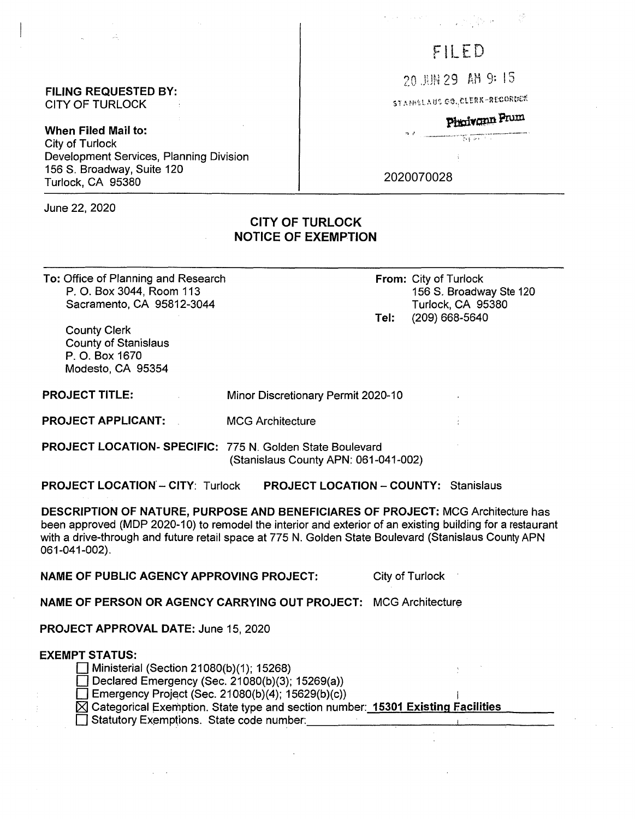#### **FILING REQUESTED BY:**  CITY OF TURLOCK

**When Filed Mail to:**  City of Turlock Development Services, Planning Division 156 S. Broadway, Suite 120 Turlock, CA 95380

June 22, 2020

# 1. 经成本人类

# FILED

20 BB 29 AM 9: 15

STANKLAUS CO., CLERK-RECORDER

بر<br>۱۳۸۳ - المورد المستشفین،<br>۱۳۸۲ - المورد ولاي

# Phoivonn Prum

2020070028

## **CITY OF TURLOCK NOTICE OF EXEMPTION**

**To:** Office of Planning and Research P. 0. Box 3044, Room 113 Sacramento, CA 95812-3044

**From:** City of Turlock 156 S. Broadway Ste 120 Turlock, CA 95380 **Tel:** (209) 668-5640

County Clerk County of Stanislaus P. 0. Box 1670 Modesto, CA 95354

| <b>PROJECT TITLE:</b> | Minor Discretionary Permit 2020-10 |  |
|-----------------------|------------------------------------|--|
|                       |                                    |  |

**PROJECT APPLICANT:**  MCG Architecture

**PROJECT LOCATION- SPECIFIC:** 775 **N.** Golden State Boulevard (Stanislaus County APN: 061-041-002)

**PROJECT LOCATION'** - **CITY:** Turlock **PROJECT LOCATION** - **COUNTY:** Stanislaus

**DESCRIPTION OF NATURE, PURPOSE AND BENEFICIARES OF PROJECT:** MCG Architecture has been approved (MOP 2020-10) to remodel the interior and exterior of an existing building for a restaurant with a drive-through and future retail space at 775 N. Golden State Boulevard (Stanislaus County APN 061-041-002).

**NAME OF PUBLIC AGENCY APPROVING PROJECT:** City of Turlock

**NAME OF PERSON OR AGENCY CARRYING OUT PROJECT: MCG Architecture** 

**PROJECT APPROVAL DATE:** June 15, 2020

### **EXEMPT STATUS:**

 $\Box$  Ministerial (Section 21080(b)(1); 15268)

Declared Emergency (Sec. 21080(b)(3); 15269(a))

 $\Box$  Emergency Project (Sec. 21080(b)(4); 15629(b)(c))

- ~ Categorical l=xemption. State type and section number: **15301 Existing FF acilities**  ions. State code number: \_\_\_\_\_\_\_\_\_ \_\_\_.. \_\_\_\_\_ \_
- □ Statutory Exemptions. State code number: